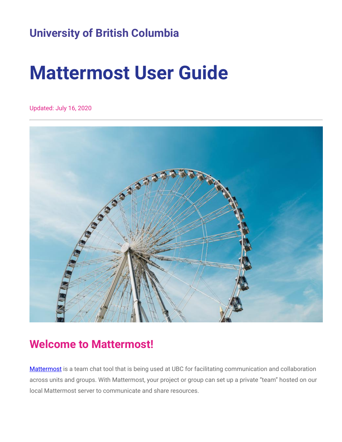## **University of British Columbia**

# **Mattermost User Guide**

Updated: July 16, 2020



### <span id="page-0-0"></span>**Welcome to Mattermost!**

[Mattermost](https://mattermost.com/) is a team chat tool that is being used at UBC for facilitating communication and collaboration across units and groups. With Mattermost, your project or group can set up a private "team" hosted on our local Mattermost server to communicate and share resources.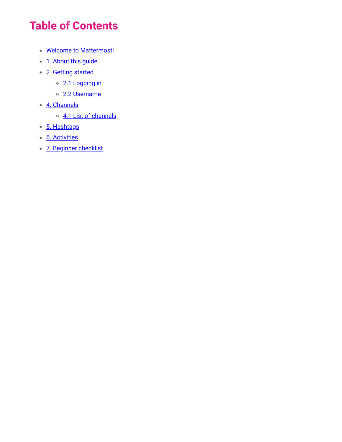## **Table of Contents**

- Welcome to [Mattermost!](#page-0-0)
- 1. [About](#page-2-0) this guide
- 2. [Getting](#page-3-0) started
	- o [2.1 Logging](#page-3-1) in
	- [2.2 Username](#page-3-2)
- 4. [Channels](#page-4-0)
	- 4.1 List of channels
- 5. Hashtags
- 6. Activities
- 7. Beginner [checklist](#page-5-0)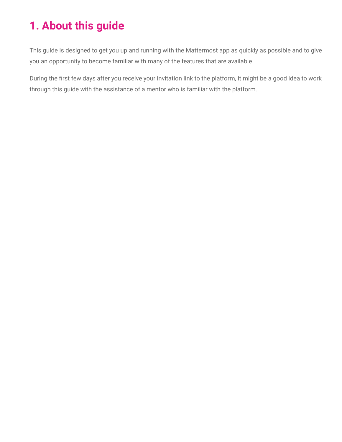# <span id="page-2-0"></span>**1. About this guide**

This guide is designed to get you up and running with the Mattermost app as quickly as possible and to give you an opportunity to become familiar with many of the features that are available.

During the first few days after you receive your invitation link to the platform, it might be a good idea to work through this guide with the assistance of a mentor who is familiar with the platform.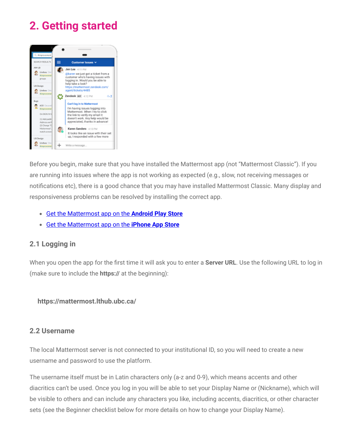# <span id="page-3-0"></span>**2. Getting started**



Before you begin, make sure that you have installed the Mattermost app (not "Mattermost Classic"). If you are running into issues where the app is not working as expected (e.g., slow, not receiving messages or notifications etc), there is a good chance that you may have installed Mattermost Classic. Many display and responsiveness problems can be resolved by installing the correct app.

- Get the [Mattermost](https://play.google.com/store/apps/details?id=com.mattermost.rn) app on the **Android Play Store**
- Get the [Mattermost](https://itunes.apple.com/us/app/mattermost/id1257222717?mt=8) app on the **iPhone App Store**

#### <span id="page-3-1"></span>**2.1 Logging in**

When you open the app for the first time it will ask you to enter a **Server URL**. Use the following URL to log in (make sure to include the **https://** at the beginning):

#### **https://mattermost.lthub.ubc.ca/**

#### <span id="page-3-2"></span>**2.2 Username**

The local Mattermost server is not connected to your institutional ID, so you will need to create a new username and password to use the platform.

The username itself must be in Latin characters only (a-z and 0-9), which means accents and other diacritics can't be used. Once you log in you will be able to set your Display Name or (Nickname), which will be visible to others and can include any characters you like, including accents, diacritics, or other character sets (see the Beginner checklist below for more details on how to change your Display Name).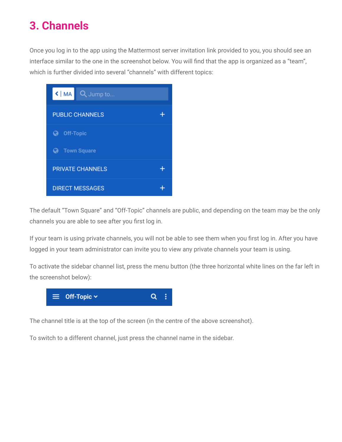# <span id="page-4-0"></span>**3. Channels**

Once you log in to the app using the Mattermost server invitation link provided to you, you should see an interface similar to the one in the screenshot below. You will find that the app is organized as a "team", which is further divided into several "channels" with different topics:



The default "Town Square" and "Off-Topic" channels are public, and depending on the team may be the only channels you are able to see after you first log in.

If your team is using private channels, you will not be able to see them when you first log in. After you have logged in your team administrator can invite you to view any private channels your team is using.

To activate the sidebar channel list, press the menu button (the three horizontal white lines on the far left in the screenshot below):



The channel title is at the top of the screen (in the centre of the above screenshot).

To switch to a different channel, just press the channel name in the sidebar.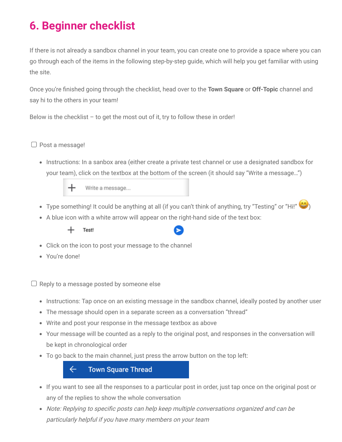# <span id="page-5-0"></span>**6. Beginner checklist**

If there is not already a sandbox channel in your team, you can create one to provide a space where you can go through each of the items in the following step-by-step guide, which will help you get familiar with using the site.

Once you're finished going through the checklist, head over to the **Town Square** or **Off-Topic** channel and say hi to the others in your team!

Below is the checklist  $-$  to get the most out of it, try to follow these in order!

#### $\Box$  Post a message!

• Instructions: In a sanbox area (either create a private test channel or use a designated sandbox for your team), click on the textbox at the bottom of the screen (it should say "Write a message…")

> Write a message... ┿

- Type something! It could be anything at all (if you can't think of anything, try "Testing" or "Hi!" ( $\bigcirc$ )
- A blue icon with a white arrow will appear on the right-hand side of the text box:



- Click on the icon to post your message to the channel
- You're done!

 $\Box$  Reply to a message posted by someone else

- Instructions: Tap once on an existing message in the sandbox channel, ideally posted by another user
- The message should open in a separate screen as a conversation "thread"
- Write and post your response in the message textbox as above
- Your message will be counted as a reply to the original post, and responses in the conversation will be kept in chronological order
- To go back to the main channel, just press the arrow button on the top left:

 $\leftarrow$ **Town Square Thread** 

- If you want to see all the responses to a particular post in order, just tap once on the original post or any of the replies to show the whole conversation
- Note: Replying to specific posts can help keep multiple conversations organized and can be particularly helpful if you have many members on your team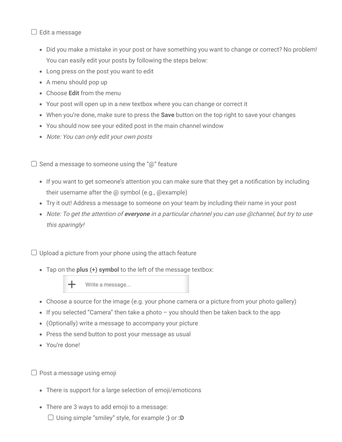$\Box$  Edit a message

- Did you make a mistake in your post or have something you want to change or correct? No problem! You can easily edit your posts by following the steps below:
- Long press on the post you want to edit
- A menu should pop up
- Choose **Edit** from the menu
- Your post will open up in a new textbox where you can change or correct it
- When you're done, make sure to press the **Save** button on the top right to save your changes
- You should now see your edited post in the main channel window
- Note: You can only edit your own posts

 $\Box$  Send a message to someone using the "@" feature

- If you want to get someone's attention you can make sure that they get a notification by including their username after the @ symbol (e.g., @example)
- Try it out! Address a message to someone on your team by including their name in your post
- Note: To get the attention of **everyone** in <sup>a</sup> particular channel you can use @channel, but try to use this sparingly!

 $\Box$  Upload a picture from your phone using the attach feature

Tap on the **plus (+) symbol** to the left of the message textbox:



- Choose a source for the image (e.g. your phone camera or a picture from your photo gallery)
- If you selected "Camera" then take a photo  $-$  you should then be taken back to the app
- (Optionally) write a message to accompany your picture
- Press the send button to post your message as usual
- You're done!

 $\Box$  Post a message using emoji

- There is support for a large selection of emoji/emoticons
- There are 3 ways to add emoji to a message: Using simple "smiley" style, for example **:)** or **:D**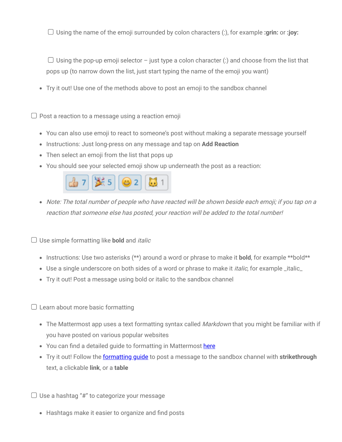Using the name of the emoji surrounded by colon characters (:), for example **:grin:** or **:joy:**

 $\Box$  Using the pop-up emoji selector – just type a colon character (:) and choose from the list that pops up (to narrow down the list, just start typing the name of the emoji you want)

Try it out! Use one of the methods above to post an emoji to the sandbox channel

 $\Box$  Post a reaction to a message using a reaction emoji

- You can also use emoji to react to someone's post without making a separate message yourself
- Instructions: Just long-press on any message and tap on **Add Reaction**
- Then select an emoji from the list that pops up
- You should see your selected emoji show up underneath the post as a reaction:



Note: The total number of people who have reacted will be shown beside each emoji; if you tap on <sup>a</sup> reaction that someone else has posted, your reaction will be added to the total number!

 $\Box$  Use simple formatting like **bold** and *italic* 

- Instructions: Use two asterisks (\*\*) around a word or phrase to make it **bold**, for example \*\*bold\*\*
- Use a single underscore on both sides of a word or phrase to make it *italic*, for example \_italic\_
- Try it out! Post a message using bold or italic to the sandbox channel

 $\Box$  Learn about more basic formatting

- The Mattermost app uses a text formatting syntax called *Markdown* that you might be familiar with if you have posted on various popular websites
- You can find a detailed guide to formatting in Mattermost [here](https://docs.mattermost.com/help/messaging/formatting-text.html)
- Try it out! Follow the [formatting](https://docs.mattermost.com/help/messaging/formatting-text.html) guide to post a message to the sandbox channel with **strikethrough** text, a clickable **link**, or a **table**

 $\Box$  Use a hashtag "#" to categorize your message

• Hashtags make it easier to organize and find posts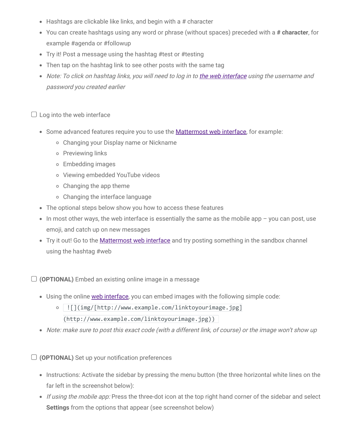- Hashtags are clickable like links, and begin with a # character
- You can create hashtags using any word or phrase (without spaces) preceded with a **# character**, for example #agenda or #followup
- Try it! Post a message using the hashtag #test or #testing
- Then tap on the hashtag link to see other posts with the same tag
- Note: To click on hashtag links, you will need to log in to the web [interface](https://mattermost.lthub.ubc.ca/) using the username and password you created earlier

 $\Box$  Log into the web interface

- Some advanced features require you to use the **[Mattermost](https://mattermost.lthub.ubc.ca/) web interface**, for example:
	- Changing your Display name or Nickname
	- o Previewing links
	- Embedding images
	- Viewing embedded YouTube videos
	- Changing the app theme
	- Changing the interface language
- The optional steps below show you how to access these features
- $\bullet$  In most other ways, the web interface is essentially the same as the mobile app  $-$  you can post, use emoji, and catch up on new messages
- Try it out! Go to the **[Mattermost](https://mattermost.lthub.ubc.ca/) web interface** and try posting something in the sandbox channel using the hashtag #web

**(OPTIONAL)** Embed an existing online image in a message

- Using the online web [interface](https://mattermost.lthub.ubc.ca/), you can embed images with the following simple code:
	- | ![](img/[http://www.example.com/linktoyourimage.jpg] (http://www.example.com/linktoyourimage.jpg))
- Note: make sure to post this exact code (with <sup>a</sup> different link, of course) or the image won't show up

 $\Box$  (**OPTIONAL**) Set up your notification preferences

- Instructions: Activate the sidebar by pressing the menu button (the three horizontal white lines on the far left in the screenshot below):
- If using the mobile app: Press the three-dot icon at the top right hand corner of the sidebar and select **Settings** from the options that appear (see screenshot below)